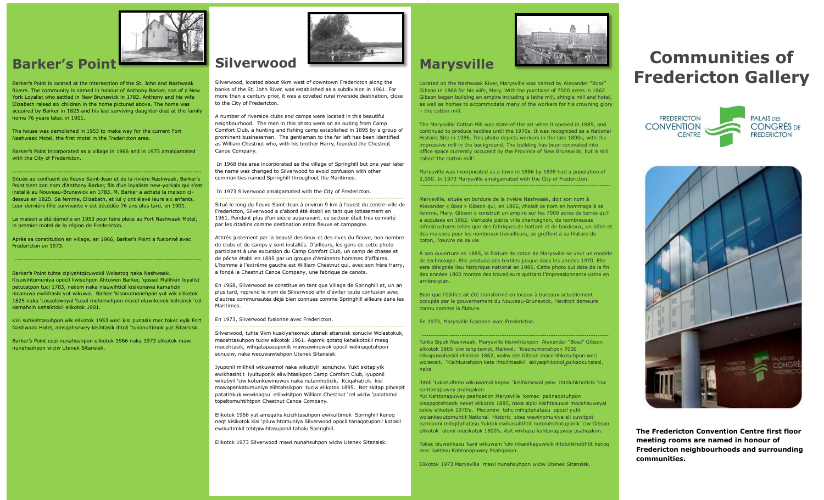

## **Barker's Point**

Barker"s Point is located at the intersection of the St. John and Nashwaak Rivers. The community is named in honour of Anthony Barker, son of a New York Loyalist who settled in New Brunswick in 1783. Anthony and his wife Elizabeth raised six children in the home pictured above. The home was acquired by Barker in 1825 and his last surviving daughter died at the family home 76 years later, in 1901.

The house was demolished in 1953 to make way for the current Fort Nashwaak Motel, the first motel in the Fredericton area.

Barker's Point incorporated as a village in 1966 and in 1973 amalgamated with the City of Fredericton.

------------------------------------------------------------------------------------- Située au confluent du fleuve Saint-Jean et de la rivière Nashwaak, Barker"s Point tient son nom d'Anthony Barker, fils d'un loyaliste new-yorkais qui s"est installé au Nouveau-Brunswick en 1783. M. Barker a acheté la maison cidessus en 1825. Sa femme, Elizabeth, et lui y ont élevé leurs six enfants. Leur dernière fille survivante y est décédée 76 ans plus tard, en 1901.

La maison a été démolie en 1953 pour faire place au Fort Nashwaak Motel, le premier motel de la région de Fredericton.

Après sa constitution en village, en 1966, Barker"s Point a fusionné avec Fredericton en 1973.

-------------------------------------------------------------------------------------

Barker"s Point tuhte cipiyahtqicuwokil Wolastoq naka Nashwaak. Kisuwihtomuniya opocil liwisuhpon Ahtuwen Barker, "qossol Malihkin loyalist petutatpon tuci 1783, nekom naka nisuwihticil kisikonawa kamahcin nicanuwa ewikhasik yut wikuwa. Barker "kisonumonehpon yut wik elikotok 1825 naka "cossoleweyal "tusol mehcinehpon mocel oluwikonok kehsinsk "cel kamahcin kehsiktokil elikotok 1901.

Kisi suhkehtasuhpon wik elikotok 1953 weci kisi punasik mec tokec eyik Fort Nashwaak Hotel, amsqahsewey kisihtasik ihtoli "tukonultimok yut Sitansisk.

Barker"s Point cepi nunahsuhpon elikotok 1966 naka 1973 elikotok mawi nunahsuhpon wiciw Utenek Sitansisk.



Silverwood, located about 9km west of downtown Fredericton along the banks of the St. John River, was established as a subdivision in 1961. For more than a century prior, it was a coveted rural riverside destination, close to the City of Fredericton.

A number of riverside clubs and camps were located in this beautiful neighbourhood. The men in this photo were on an outing from Camp Comfort Club, a hunting and fishing camp established in 1895 by a group of prominent businessmen. The gentleman to the far left has been identified as William Chestnut who, with his brother Harry, founded the Chestnut Canoe Company.

In 1968 this area incorporated as the village of Springhill but one year later the name was changed to Silverwood to avoid confusion with other communities named Springhill throughout the Maritimes.

In 1973 Silverwood amalgamated with the City of Fredericton.

------------------------------------------------------------------------------------- Situé le long du fleuve Saint-Jean à environ 9 km à l'ouest du centre-ville de Fredericton, Silverwood a d"abord été établi en tant que lotissement en 1961. Pendant plus d'un siècle auparavant, ce secteur était très convoité par les citadins comme destination entre fleuve et campagne.

Attirés justement par la beauté des lieux et des rives du fleuve, bon nombre de clubs et de camps y sont installés. D"ailleurs, les gens de cette photo participent à une excursion du Camp Comfort Club, un camp de chasse et de pêche établi en 1895 par un groupe d'éminents hommes d'affaires. L"homme à l'extrême gauche est William Chestnut qui, avec son frère Harry, a fondé la Chestnut Canoe Company, une fabrique de canots.

En 1968, Silverwood se constitue en tant que Village de Springhill et, un an plus tard, reprend le nom de Silverwood afin d"éviter toute confusion avec d'autres communautés déjà bien connues comme Springhill ailleurs dans les Maritimes.

En 1973, Silverwood fusionne avec Fredericton.

Silverwood, tuhte 9km kuskiyahsonuk utenek sitansisk sonuciw Wolastokuk, macehtasuhpon tuciw elikotok 1961. Aqamk qotatq kehsikotokil mesq macehtasik, wihqatapasuponik mawsuwinuwok opocil wolinaqotuhpon sonuciw, naka wecuwawtehpon Utenek Sitansisk.

-------------------------------------------------------------------------------------

Iyuponil milihkil wikuwamol naka wikutiyil sonuhciw. Yukt skitapiyik ewikhasihtit iyultuponik eliwihtasikpon Camp Comfort Club, iyuponil wikutiyil "ciw kotunkewinuwok naka nutamhoticik, Kciqahaticik kisi mawapenkatumuniya elihtahsikpon tuciw elikotok 1895. Not skitap pihcepit patatihkuk wewinaqsu eliliwisitpon William Chestnut "cel wiciw "polatamol topeltomuhtihtpon Chestnut Canoe Company.

Elikotok 1968 yut amsqahs kcicihtasuhpon ewikultimok Springhill kenoq neqt kisikotok kisi "piluwihtomuniya Silverwood opocil tanaqotuponil kotokil ewikultimkil tehtpiwihtasuponil tahalu Springhill.

Elikotok 1973 Silverwood mawi nunahsuhpon wiciw Utenek Sitansisk.



## **Marysville**

Located on the Nashwaak River, Marysville was named by Alexander "Boss" Gibson in 1866 for his wife, Mary. With the purchase of 7000 acres in 1862 Gibson began building an empire including a lathe mill, shingle mill and hotel, as well as homes to accommodate many of the workers for his crowning glory – the cotton mill.

The Marysville Cotton Mill was state-of-the art when it opened in 1885, and continued to produce textiles until the 1970s. It was recognized as a National Historic Site in 1986. This photo depicts workers in the late 1800s, with the impressive mill in the background. The building has been renovated into office space currently occupied by the Province of New Brunswick, but is still called "the cotton mill".

Marysville was incorporated as a town in 1886 by 1898 had a population of 2,000. In 1973 Marysville amalgamated with the City of Fredericton. --------------------------------------------------------------------------------------

Marysville, située en bordure de la rivière Nashwaak, doit son nom à Alexander « Boss » Gibson qui, en 1866, choisit ce nom en hommage à sa femme, Mary. Gibson y construit un empire sur les 7000 acres de terres qu"il a acquises en 1862. Véritable petite ville champignon, de nombreuses infrastructures telles que des fabriques de battant et de bardeaux, un hôtel et des maisons pour les nombreux travailleurs, se greffent à sa filature de coton, l"œuvre de sa vie.

À son ouverture en 1885, la filature de coton de Marysville se veut un modèle de technologie. Elle produira des textiles jusque dans les années 1970. Elle sera désignée lieu historique national en 1986. Cette photo qui date de la fin des années 1800 montre des travailleurs quittant l"impressionnante usine en arrière-plan.

Bien que l"édifice ait été transformé en locaux à bureaux actuellement occupés par le gouvernement du Nouveau-Brunswick, l"endroit demeure connu comme la filature.

En 1973, Marysville fusionne avec Fredericton.

Tuhte Sipok Nashwaak, Marysville kisiwihtokpon Alexander "Boss" Gibson elikotok 1866 "ciw tehpitemol, Maliwol. "Kisonumonehpon 7000 elikapuwahaskil elikotok 1862, woliw ote Gibson mace lihkosuhpon weci wolawsit. 'Kisihtunehpon kete ihtolihtasikil akiyaqihikonol, psiksokuhsisol, naka

--------------------------------------------------------------------------------------

ihtoli "tukonultimo wikuwamol kapiw "kisihkisewal psiw ihtoluhkhoticik "ciw kahtonapuwey psahqakon.

Yut Kahtonapuwey psahqakon Marysville komac palinaqotuhpon kisapqotehtasik neket elikotok 1885, naka sipki kisihtasuwol mocehsuweyal tokiw elikotok 1970"s. Mecomiw tehc mihqitahatasu opocil yukt wolankeyutomuhtit National Historic sites wewinomuniya eli cuwitpot namkomi mihqitahatasu.Yuktok ewikasultihtit nutoluhkhotuponik "ciw Gibson elikotok olomi mecikotok 1800"s. Asit wikhasu kahtonapuwey psahqakon.

Tokec oluwehkasu "kani wikuwam "ciw nikanikapuwicik ihtoluhkhotihtit kenoq mec liwitasu Kahtonapuwey Psahqakon.

Elikotok 1973 Marysville mawi nunahsuhpon wiciw Utenek Sitansisk.

## **Communities of Fredericton Gallery**





**The Fredericton Convention Centre first floor meeting rooms are named in honour of Fredericton neighbourhoods and surrounding communities.**